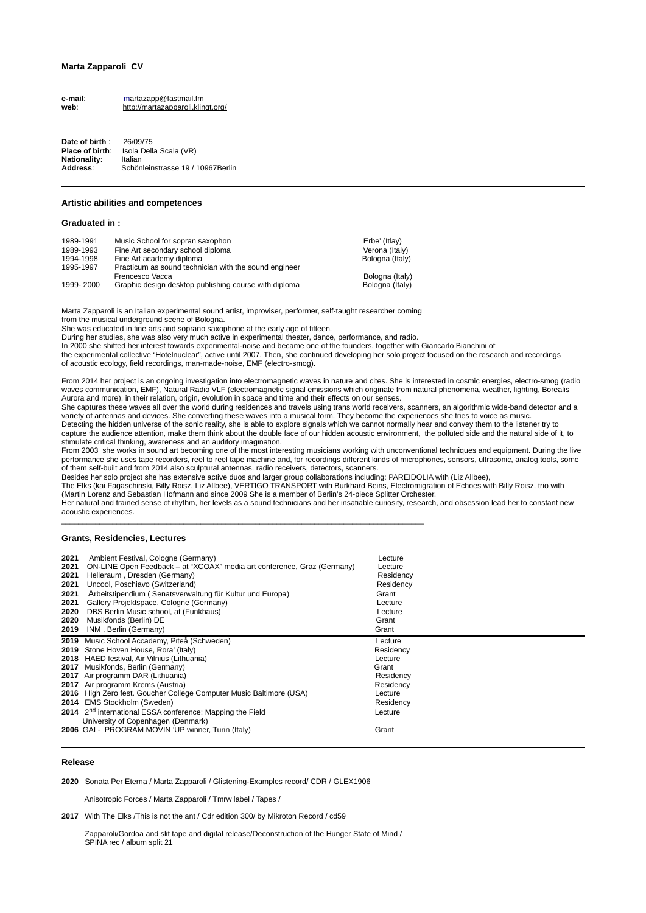# **Marta Zapparoli CV**

**e-mail**: [ma](mailto:xpenelopex@gmail.com)rtazapp@fastmail.fm **web**: <http://martazapparoli.klingt.org/>

**Date of birth** : 26/09/75 **Place of birth**: Isola Della Scala (VR) **Nationality**: Italian **Address**: Schönleinstrasse 19 / 10967Berlin

### **Artistic abilities and competences**

**Graduated in :**

| 1989-1991 | Music School for sopran saxophon                      | Erbe' (Itlav)   |
|-----------|-------------------------------------------------------|-----------------|
| 1989-1993 | Fine Art secondary school diploma                     | Verona (Italy)  |
| 1994-1998 | Fine Art academy diploma                              | Bologna (Italy) |
| 1995-1997 | Practicum as sound technician with the sound engineer |                 |
|           | Frencesco Vacca                                       | Bologna (Italy) |
| 1999-2000 | Graphic design desktop publishing course with diploma | Bologna (Italy) |

Marta Zapparoli is an Italian experimental sound artist, improviser, performer, self-taught researcher coming from the musical underground scene of Bologna.

She was educated in fine arts and soprano saxophone at the early age of fifteen.

During her studies, she was also very much active in experimental theater, dance, performance, and radio.

In 2000 she shifted her interest towards experimental-noise and became one of the founders, together with Giancarlo Bianchini of the experimental collective "Hotelnuclear", active until 2007. Then, she continued developing her solo project focused on the research and recordings of acoustic ecology, field recordings, man-made-noise, EMF (electro-smog).

From 2014 her project is an ongoing investigation into electromagnetic waves in nature and cites. She is interested in cosmic energies, electro-smog (radio waves communication, EMF), Natural Radio VLF (electromagnetic signal emissions which originate from natural phenomena, weather, lighting, Borealis Aurora and more), in their relation, origin, evolution in space and time and their effects on our senses.

She captures these waves all over the world during residences and travels using trans world receivers, scanners, an algorithmic wide-band detector and a variety of antennas and devices. She converting these waves into a musical form. They become the experiences she tries to voice as music. Detecting the hidden universe of the sonic reality, she is able to explore signals which we cannot normally hear and convey them to the listener try to capture the audience attention, make them think about the double face of our hidden acoustic environment, the polluted side and the natural side of it, to stimulate critical thinking, awareness and an auditory imagination.

From 2003 she works in sound art becoming one of the most interesting musicians working with unconventional techniques and equipment. During the live performance she uses tape recorders, reel to reel tape machine and, for recordings different kinds of microphones, sensors, ultrasonic, analog tools, some of them self-built and from 2014 also sculptural antennas, radio receivers, detectors, scanners.

Besides her solo project she has extensive active duos and larger group collaborations including: PAREIDOLIA with (Liz Allbee),

The Elks (kai Fagaschinski, Billy Roisz, Liz Allbee), VERTIGO TRANSPORT with Burkhard Beins, Electromigration of Echoes with Billy Roisz, trio with (Martin Lorenz and Sebastian Hofmann and since 2009 She is a member of Berlin's 24-piece Splitter Orchester.

Her natural and trained sense of rhythm, her levels as a sound technicians and her insatiable curiosity, research, and obsession lead her to constant new acoustic experiences.

# **Grants, Residencies, Lectures**

| 2021                                         | Ambient Festival, Cologne (Germany)                                                                                                                                                                                                                                                                                                                                                                                                                                                              | Lecture                                                                                                        |
|----------------------------------------------|--------------------------------------------------------------------------------------------------------------------------------------------------------------------------------------------------------------------------------------------------------------------------------------------------------------------------------------------------------------------------------------------------------------------------------------------------------------------------------------------------|----------------------------------------------------------------------------------------------------------------|
| 2021                                         | ON-LINE Open Feedback – at "XCOAX" media art conference, Graz (Germany)                                                                                                                                                                                                                                                                                                                                                                                                                          | Lecture                                                                                                        |
| 2021                                         | Helleraum, Dresden (Germany)                                                                                                                                                                                                                                                                                                                                                                                                                                                                     | Residency                                                                                                      |
| 2021                                         | Uncool, Poschiavo (Switzerland)                                                                                                                                                                                                                                                                                                                                                                                                                                                                  | Residency                                                                                                      |
| 2021                                         | Arbeitstipendium (Senatsverwaltung für Kultur und Europa)                                                                                                                                                                                                                                                                                                                                                                                                                                        | Grant                                                                                                          |
| 2021                                         | Gallery Projektspace, Cologne (Germany)                                                                                                                                                                                                                                                                                                                                                                                                                                                          | Lecture                                                                                                        |
| 2020                                         | DBS Berlin Music school, at (Funkhaus)                                                                                                                                                                                                                                                                                                                                                                                                                                                           | Lecture                                                                                                        |
| 2020                                         | Musikfonds (Berlin) DE                                                                                                                                                                                                                                                                                                                                                                                                                                                                           | Grant                                                                                                          |
| 2019                                         | INM, Berlin (Germany)                                                                                                                                                                                                                                                                                                                                                                                                                                                                            | Grant                                                                                                          |
| 2019<br>2019<br>2018<br>2017<br>2017<br>2017 | Music School Accademy, Piteå (Schweden)<br>Stone Hoven House, Rora' (Italy)<br>HAED festival. Air Vilnius (Lithuania)<br>Musikfonds, Berlin (Germany)<br>Air programm DAR (Lithuania)<br>Air programm Krems (Austria)<br>2016 High Zero fest. Goucher College Computer Music Baltimore (USA)<br>2014 EMS Stockholm (Sweden)<br>2014 2 <sup>nd</sup> international ESSA conference: Mapping the Field<br>University of Copenhagen (Denmark)<br>2006 GAI - PROGRAM MOVIN 'UP winner, Turin (Italy) | Lecture<br>Residency<br>Lecture<br>Grant<br>Residency<br>Residency<br>Lecture<br>Residency<br>Lecture<br>Grant |

### **Release**

**2020** Sonata Per Eterna / Marta Zapparoli / Glistening-Examples record/ CDR / GLEX1906

Anisotropic Forces / Marta Zapparoli / Tmrw label / Tapes /

**2017** With The Elks /This is not the ant / Cdr edition 300/ by Mikroton Record / cd59

 Zapparoli/Gordoa and slit tape and digital release/Deconstruction of the Hunger State of Mind / SPINA rec / album split 21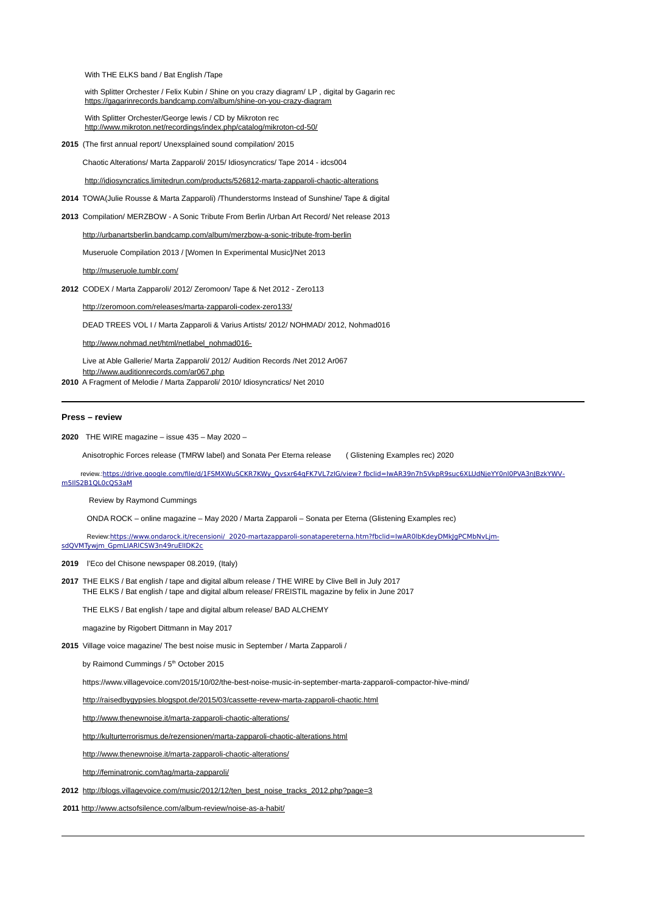With THE ELKS band / Bat English /Tape

 with Splitter Orchester / Felix Kubin / Shine on you crazy diagram/ LP , digital by Gagarin rec <https://gagarinrecords.bandcamp.com/album/shine-on-you-crazy-diagram>

 With Splitter Orchester/George lewis / CD by Mikroton rec <http://www.mikroton.net/recordings/index.php/catalog/mikroton-cd-50/>

**2015** (The first annual report/ Unexsplained sound compilation/ 2015

Chaotic Alterations/ Marta Zapparoli/ 2015/ Idiosyncratics/ Tape 2014 - idcs004

<http://idiosyncratics.limitedrun.com/products/526812-marta-zapparoli-chaotic-alterations>

- **2014** TOWA(Julie Rousse & Marta Zapparoli) /Thunderstorms Instead of Sunshine/ Tape & digital
- **2013** Compilation/ MERZBOW A Sonic Tribute From Berlin /Urban Art Record/ Net release 2013

<http://urbanartsberlin.bandcamp.com/album/merzbow-a-sonic-tribute-from-berlin>

Museruole Compilation 2013 / [Women In Experimental Music]/Net 2013

### <http://museruole.tumblr.com/>

**2012** CODEX / Marta Zapparoli/ 2012/ Zeromoon/ Tape & Net 2012 - Zero113

<http://zeromoon.com/releases/marta-zapparoli-codex-zero133/>

DEAD TREES VOL I / Marta Zapparoli & Varius Artists/ 2012/ NOHMAD/ 2012, Nohmad016

[http://www.nohmad.net/html/netlabel\\_nohmad016-](http://www.nohmad.net/html/netlabel_nohmad016-Dead%20Trees%20Vol%20I.html)

 Live at Able Gallerie/ Marta Zapparoli/ 2012/ Audition Records /Net 2012 Ar067 <http://www.auditionrecords.com/ar067.php>

**2010** A Fragment of Melodie / Marta Zapparoli/ 2010/ Idiosyncratics/ Net 2010

### **Press – review**

**2020** THE WIRE magazine – issue 435 – May 2020 –

Anisotrophic Forces release (TMRW label) and Sonata Per Eterna release ( Glistening Examples rec) 2020

 review.: [https://drive.google.com/file/d/1FSMXWuSCKR7KWy\\_Qvsxr64qFK7VL7zIG/view](https://drive.google.com/file/d/1FSMXWuSCKR7KWy_Qvsxr64qFK7VL7zIG/view) [? fbclid=IwAR39n7h5VkpR9suc6XLUdNjeYY0nl0PVA3nJBzkYWV](https://drive.google.com/file/d/1FSMXWuSCKR7KWy_Qvsxr64qFK7VL7zIG/view?fbclid=IwAR39n7h5VkpR9suc6XLUdNjeYY0nl0PVA3nJBzkYWVm5IlS2B1QL0cQS3aM)  [m5IlS2B1QL0cQS3aM](https://drive.google.com/file/d/1FSMXWuSCKR7KWy_Qvsxr64qFK7VL7zIG/view?fbclid=IwAR39n7h5VkpR9suc6XLUdNjeYY0nl0PVA3nJBzkYWVm5IlS2B1QL0cQS3aM)

Review by Raymond Cummings

ONDA ROCK – online magazine – May 2020 / Marta Zapparoli – Sonata per Eterna (Glistening Examples rec)

 Review:<https://www.ondarock.it/recensioni/> [2020-martazapparoli-sonatapereterna.htm?fbclid=IwAR0lbKdeyDMkJgPCMbNvLjm](https://www.ondarock.it/recensioni/2020-martazapparoli-sonatapereterna.htm?fbclid=IwAR0lbKdeyDMkJgPCMbNvLjm-sdQVMTywjm_GpmLIARlCSW3n49ruElIDK2c)sdQVMTywjm\_GpmLIARICSW3n49ruElIDK2c

**2019** l'Eco del Chisone newspaper 08.2019, (Italy)

**2017** THE ELKS / Bat english / tape and digital album release / THE WIRE by Clive Bell in July 2017 THE ELKS / Bat english / tape and digital album release/ FREISTIL magazine by felix in June 2017

THE ELKS / Bat english / tape and digital album release/ BAD ALCHEMY

magazine by Rigobert Dittmann in May 2017

**2015** Village voice magazine/ The best noise music in September / Marta Zapparoli /

by Raimond Cummings / 5<sup>th</sup> October 2015

https://www.villagevoice.com/2015/10/02/the-best-noise-music-in-september-marta-zapparoli-compactor-hive-mind/

<http://raisedbygypsies.blogspot.de/2015/03/cassette-revew-marta-zapparoli-chaotic.html>

<http://www.thenewnoise.it/marta-zapparoli-chaotic-alterations/>

<http://kulturterrorismus.de/rezensionen/marta-zapparoli-chaotic-alterations.html>

<http://www.thenewnoise.it/marta-zapparoli-chaotic-alterations/>

<http://feminatronic.com/tag/marta-zapparoli/>

**2012** [http://blogs.villagevoice.com/music/2012/12/ten\\_best\\_noise\\_tracks\\_2012.php?page=3](http://blogs.villagevoice.com/music/2012/12/ten_best_noise_tracks_2012.php?page=3)

**2011** <http://www.actsofsilence.com/album-review/noise-as-a-habit/>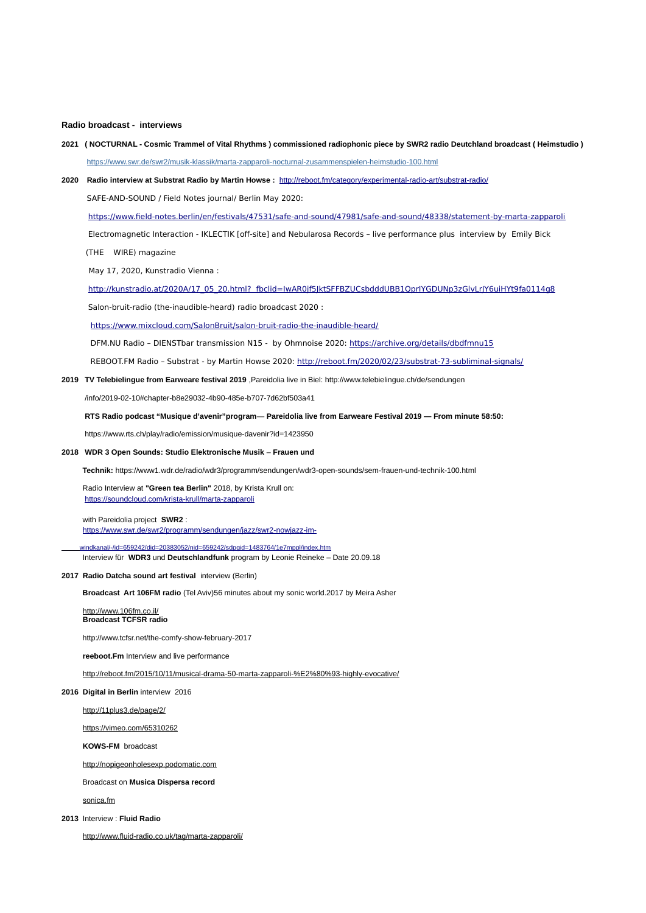## **Radio broadcast - interviews**

- **2021 ( NOCTURNAL Cosmic Trammel of Vital Rhythms ) commissioned radiophonic piece by SWR2 radio Deutchland broadcast ( Heimstudio )** <https://www.swr.de/swr2/musik-klassik/marta-zapparoli-nocturnal-zusammenspielen-heimstudio-100.html>
- **2020 Radio interview at Substrat Radio by Martin Howse :** <http://reboot.fm/category/experimental-radio-art/substrat-radio/>

SAFE-AND-SOUND / Field Notes journal/ Berlin May 2020:

<https://www.field-notes.berlin/en/festivals/47531/safe-and-sound/47981/safe-and-sound/48338/statement-by-marta-zapparoli>

Electromagnetic Interaction - IKLECTIK [off-site] and Nebularosa Records – live performance plus interview by Emily Bick

(THE WIRE) magazine

May 17, 2020, Kunstradio Vienna :

[http://kunstradio.at/2020A/17\\_05\\_20.html](http://kunstradio.at/2020A/17_05_20.html)? fbclid=IwAR0jf5JktSFFBZUCsbdddUBB1QprIYGDUNp3zGlvLrJY6uiHYt9fa0114g8

Salon-bruit-radio (the-inaudible-heard) radio broadcast 2020 :

<https://www.mixcloud.com/SalonBruit/salon-bruit-radio-the-inaudible-heard/>

DFM.NU Radio - DIENSTbar transmission N15 - by Ohmnoise 2020:<https://archive.org/details/dbdfmnu15>

REBOOT.FM Radio – Substrat - by Martin Howse 2020: <http://reboot.fm/2020/02/23/substrat-73-subliminal-signals/>

**2019 TV Telebielingue from Earweare festival 2019** ,Pareidolia live in Biel: http://www.telebielingue.ch/de/sendungen

/info/2019-02-10#chapter-b8e29032-4b90-485e-b707-7d62bf503a41

**RTS Radio podcast "Musique d'avenir"program**— **Pareidolia live from Earweare Festival 2019 — From minute 58:50:**

https://www.rts.ch/play/radio/emission/musique-davenir?id=1423950

#### **2018 WDR 3 Open Sounds: Studio Elektronische Musik** – **Frauen und**

 **Technik:** https://www1.wdr.de/radio/wdr3/programm/sendungen/wdr3-open-sounds/sem-frauen-und-technik-100.html

 Radio Interview at **"Green tea Berlin"** 2018, by Krista Krull on: <https://soundcloud.com/krista-krull/marta-zapparoli>

 with Pareidolia project **SWR2** : <https://www.swr.de/swr2/programm/sendungen/jazz/swr2-nowjazz-im->

 [windkanal/-/id=659242/did=20383052/nid=659242/sdpgid=1483764/1e7mppl/index.htm](https://www.swr.de/swr2/programm/sendungen/jazz/swr2-nowjazz-im-windkanal/-/id=659242/did=20383052/nid=659242/sdpgid=1483764/1e7mppl/index.html) Interview für **WDR3** und **Deutschlandfunk** program by Leonie Reineke – Date 20.09.18

**2017 Radio Datcha sound art festival** interview (Berlin)

 **Broadcast Art 106FM radio** (Tel Aviv)56 minutes about my sonic world.2017 by Meira Asher

<http://www.106fm.co.il/> **Broadcast TCFSR radio** 

http://www.tcfsr.net/the-comfy-show-february-2017

**reeboot.Fm** Interview and live performance

<http://reboot.fm/2015/10/11/musical-drama-50-marta-zapparoli-%E2%80%93-highly-evocative/>

## **2016 Digital in Berlin** interview 2016

<http://11plus3.de/page/2/>

<https://vimeo.com/65310262>

**KOWS-FM** broadcast

[http://nopigeonholesexp.podomatic.com](http://nopigeonholesexp.podomatic.com/)

Broadcast on **Musica Dispersa record**

[sonica.fm](http://sonica.fm/)

**2013** Interview : **Fluid Radio**

<http://www.fluid-radio.co.uk/tag/marta-zapparoli/>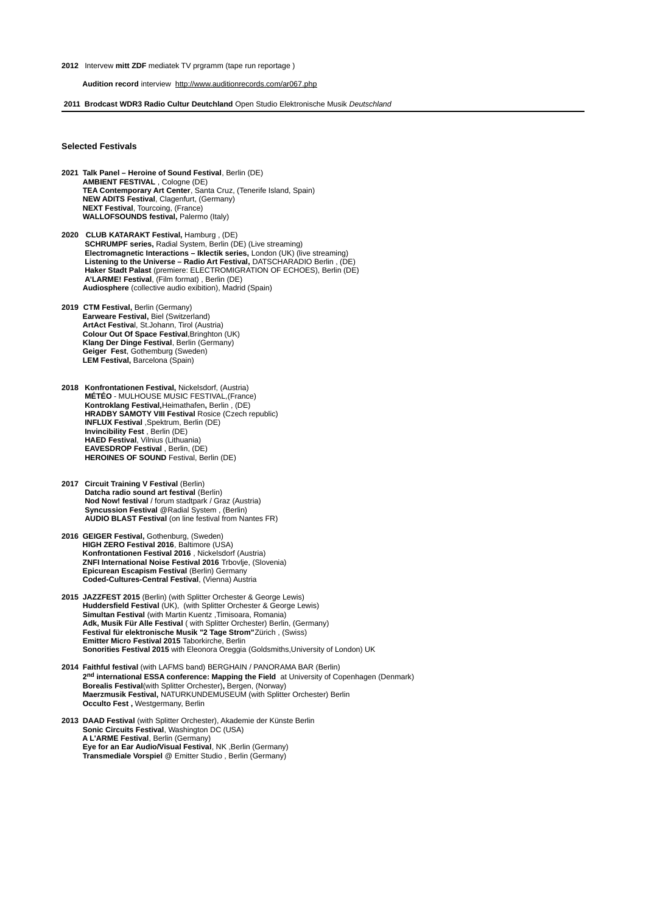#### **2012** Intervew **mitt ZDF** mediatek TV prgramm (tape run reportage )

### **Audition record** interview <http://www.auditionrecords.com/ar067.php>

### **2011 Brodcast WDR3 Radio Cultur Deutchland** Open Studio Elektronische Musik *Deutschland*

### **Selected Festivals**

- **2021 Talk Panel Heroine of Sound Festival**, Berlin (DE) **AMBIENT FESTIVAL** , Cologne (DE) **TEA Contemporary Art Center**, Santa Cruz, (Tenerife Island, Spain) **NEW ADITS Festival**, Clagenfurt, (Germany) **NEXT Festival**, Tourcoing, (France) **WALLOFSOUNDS festival,** Palermo (Italy)
- **2020 CLUB KATARAKT Festival,** Hamburg , (DE) **SCHRUMPF series, Radial System, Berlin (DE) (Live streaming) Electromagnetic Interactions – Iklectik series,** London (UK) (live streaming) **Listening to the Universe – Radio Art Festival,** DATSCHARADIO Berlin , (DE) **Haker Stadt Palast** (premiere: ELECTROMIGRATION OF ECHOES), Berlin (DE) **A'LARME! Festival**, (Film format) , Berlin (DE)  **Audiosphere** (collective audio exibition), Madrid (Spain)
- **2019 CTM Festival,** Berlin (Germany)  **Earweare Festival,** Biel (Switzerland) **ArtAct Festiva**l, St.Johann, Tirol (Austria) **Colour Out Of Space Festival**,Bringhton (UK) **Klang Der Dinge Festival**, Berlin (Germany) **Geiger Fest**, Gothemburg (Sweden) **LEM Festival,** Barcelona (Spain)
- **2018 Konfrontationen Festival,** Nickelsdorf, (Austria) **MÉTÉO** - MULHOUSE MUSIC FESTIVAL,(France) **Kontroklang Festival,**Heimathafen**,** Berlin , (DE) **HRADBY SAMOTY VIII Festival Rosice (Czech republic) INFLUX Festival** ,Spektrum, Berlin (DE) **Invincibility Fest** , Berlin (DE) **HAED Festival**, Vilnius (Lithuania) **EAVESDROP Festival** , Berlin, (DE) **HEROINES OF SOUND** Festival, Berlin (DE)
- **2017 Circuit Training V Festival** (Berlin) **Datcha radio sound art festival (Berlin) Nod Now! festival** / forum stadtpark / Graz (Austria) **Syncussion Festival** @Radial System , (Berlin) **AUDIO BLAST Festival** (on line festival from Nantes FR)
- **2016 GEIGER Festival,** Gothenburg, (Sweden)  **HIGH ZERO Festival 2016**, Baltimore (USA)  **Konfrontationen Festival 2016** , Nickelsdorf (Austria)  **ZNFI International Noise Festival 2016** Trbovlje, (Slovenia)  **Epicurean Escapism Festival** (Berlin) Germany **Coded-Cultures-Central Festival**, (Vienna) Austria
- **2015 JAZZFEST 2015** (Berlin) (with Splitter Orchester & George Lewis) **Huddersfield Festival** (UK), (with Splitter Orchester & George Lewis) **Simultan Festival** (with Martin Kuentz ,Timisoara, Romania) **Adk, Musik Für Alle Festival** ( with Splitter Orchester) Berlin, (Germany) **Festival für elektronische Musik "2 Tage Strom"**Zürich , (Swiss) **Emitter Micro Festival 2015** Taborkirche, Berlin **Sonorities Festival 2015** with Eleonora Oreggia (Goldsmiths,University of London) UK
- **2014 Faithful festival** (with LAFMS band) BERGHAIN / PANORAMA BAR (Berlin) **2nd international ESSA conference: Mapping the Field** at University of Copenhagen (Denmark) **Borealis Festival**(with Splitter Orchester)**,** Bergen, (Norway) **Maerzmusik Festival,** NATURKUNDEMUSEUM (with Splitter Orchester) Berlin **Occulto Fest ,** Westgermany, Berlin
- **2013 DAAD Festival** (with Splitter Orchester), Akademie der Künste Berlin **Sonic Circuits Festival**, Washington DC (USA)  **A L'ARME Festival**, Berlin (Germany) **Eye for an Ear Audio/Visual Festival, NK , Berlin (Germany) Transmediale Vorspiel** @ Emitter Studio , Berlin (Germany)